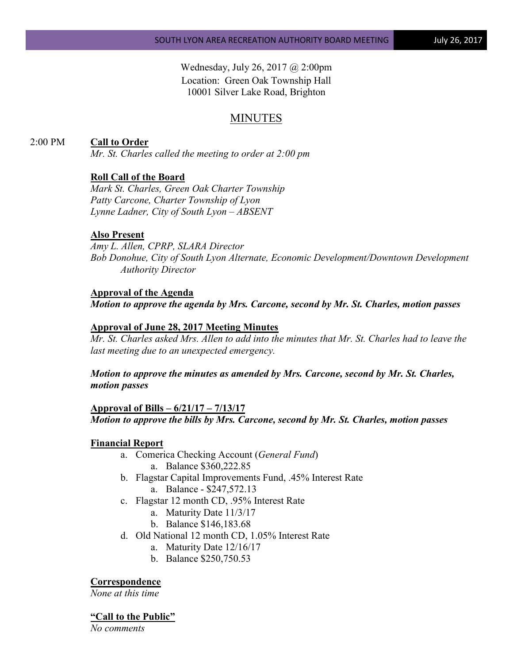Wednesday, July 26, 2017 @ 2:00pm Location: Green Oak Township Hall 10001 Silver Lake Road, Brighton

# MINUTES

### 2:00 PM **Call to Order**

*Mr. St. Charles called the meeting to order at 2:00 pm*

#### **Roll Call of the Board**

*Mark St. Charles, Green Oak Charter Township Patty Carcone, Charter Township of Lyon Lynne Ladner, City of South Lyon – ABSENT* 

### **Also Present**

*Amy L. Allen, CPRP, SLARA Director Bob Donohue, City of South Lyon Alternate, Economic Development/Downtown Development Authority Director*

#### **Approval of the Agenda**

*Motion to approve the agenda by Mrs. Carcone, second by Mr. St. Charles, motion passes*

#### **Approval of June 28, 2017 Meeting Minutes**

*Mr. St. Charles asked Mrs. Allen to add into the minutes that Mr. St. Charles had to leave the last meeting due to an unexpected emergency.*

*Motion to approve the minutes as amended by Mrs. Carcone, second by Mr. St. Charles, motion passes*

#### **Approval of Bills – 6/21/17 – 7/13/17**

*Motion to approve the bills by Mrs. Carcone, second by Mr. St. Charles, motion passes*

#### **Financial Report**

- a. Comerica Checking Account (*General Fund*) a. Balance \$360,222.85
- b. Flagstar Capital Improvements Fund, .45% Interest Rate
	- a. Balance \$247,572.13
- c. Flagstar 12 month CD, .95% Interest Rate
	- a. Maturity Date 11/3/17
	- b. Balance \$146,183.68
- d. Old National 12 month CD, 1.05% Interest Rate
	- a. Maturity Date 12/16/17
	- b. Balance \$250,750.53

#### **Correspondence**

*None at this time*

#### **"Call to the Public"**

*No comments*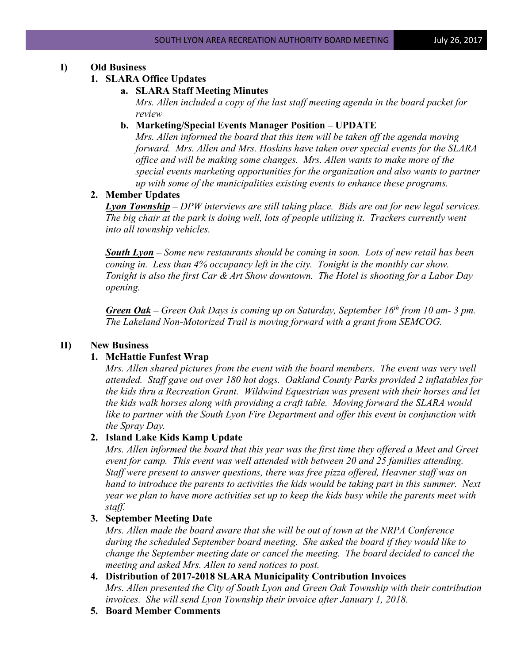# **I) Old Business**

### **1. SLARA Office Updates**

### **a. SLARA Staff Meeting Minutes**

*Mrs. Allen included a copy of the last staff meeting agenda in the board packet for review*

# **b. Marketing/Special Events Manager Position – UPDATE**

*Mrs. Allen informed the board that this item will be taken off the agenda moving forward. Mrs. Allen and Mrs. Hoskins have taken over special events for the SLARA office and will be making some changes. Mrs. Allen wants to make more of the special events marketing opportunities for the organization and also wants to partner up with some of the municipalities existing events to enhance these programs.*

# **2. Member Updates**

*Lyon Township – DPW interviews are still taking place. Bids are out for new legal services. The big chair at the park is doing well, lots of people utilizing it. Trackers currently went into all township vehicles.*

*South Lyon – Some new restaurants should be coming in soon. Lots of new retail has been coming in. Less than 4% occupancy left in the city. Tonight is the monthly car show. Tonight is also the first Car & Art Show downtown. The Hotel is shooting for a Labor Day opening.*

*Green Oak – Green Oak Days is coming up on Saturday, September 16th from 10 am- 3 pm. The Lakeland Non-Motorized Trail is moving forward with a grant from SEMCOG.* 

# **II) New Business**

# **1. McHattie Funfest Wrap**

*Mrs. Allen shared pictures from the event with the board members. The event was very well attended. Staff gave out over 180 hot dogs. Oakland County Parks provided 2 inflatables for the kids thru a Recreation Grant. Wildwind Equestrian was present with their horses and let the kids walk horses along with providing a craft table. Moving forward the SLARA would like to partner with the South Lyon Fire Department and offer this event in conjunction with the Spray Day.*

### **2. Island Lake Kids Kamp Update**

*Mrs. Allen informed the board that this year was the first time they offered a Meet and Greet event for camp. This event was well attended with between 20 and 25 families attending. Staff were present to answer questions, there was free pizza offered, Heavner staff was on hand to introduce the parents to activities the kids would be taking part in this summer. Next year we plan to have more activities set up to keep the kids busy while the parents meet with staff.*

# **3. September Meeting Date**

*Mrs. Allen made the board aware that she will be out of town at the NRPA Conference during the scheduled September board meeting. She asked the board if they would like to change the September meeting date or cancel the meeting. The board decided to cancel the meeting and asked Mrs. Allen to send notices to post.*

- **4. Distribution of 2017-2018 SLARA Municipality Contribution Invoices** *Mrs. Allen presented the City of South Lyon and Green Oak Township with their contribution invoices. She will send Lyon Township their invoice after January 1, 2018.*
- **5. Board Member Comments**